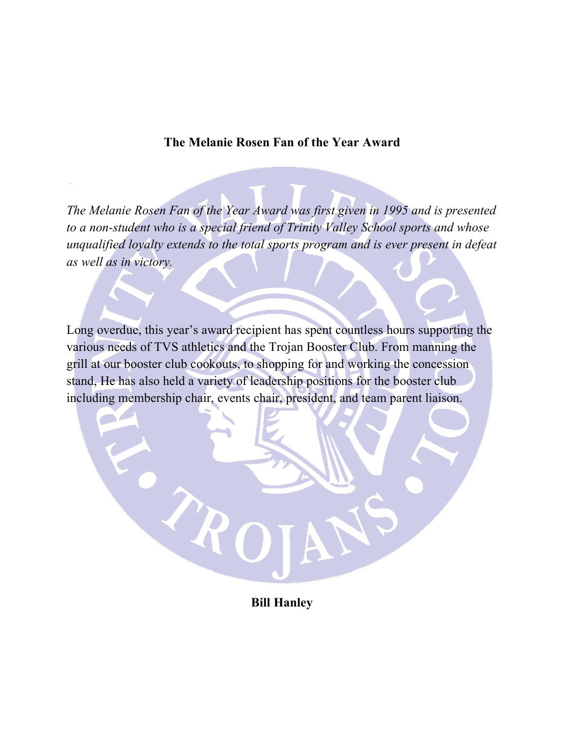#### **The Melanie Rosen Fan of the Year Award**

*The Melanie Rosen Fan of the Year Award was first given in 1995 and is presented to a non-student who is a special friend of Trinity Valley School sports and whose unqualified loyalty extends to the total sports program and is ever present in defeat as well as in victory.*

Long overdue, this year's award recipient has spent countless hours supporting the various needs of TVS athletics and the Trojan Booster Club. From manning the grill at our booster club cookouts, to shopping for and working the concession stand, He has also held a variety of leadership positions for the booster club including membership chair, events chair, president, and team parent liaison.

**Bill Hanley**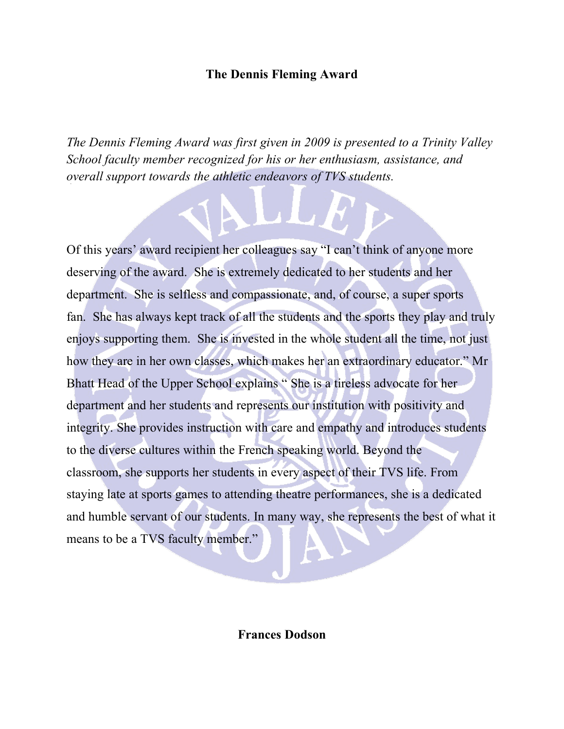### **The Dennis Fleming Award**

*The Dennis Fleming Award was first given in 2009 is presented to a Trinity Valley School faculty member recognized for his or her enthusiasm, assistance, and overall support towards the athletic endeavors of TVS students.* 

u bibli

Of this years' award recipient her colleagues say "I can't think of anyone more deserving of the award. She is extremely dedicated to her students and her department. She is selfless and compassionate, and, of course, a super sports fan. She has always kept track of all the students and the sports they play and truly enjoys supporting them. She is invested in the whole student all the time, not just how they are in her own classes, which makes her an extraordinary educator." Mr Bhatt Head of the Upper School explains " She is a tireless advocate for her department and her students and represents our institution with positivity and integrity. She provides instruction with care and empathy and introduces students to the diverse cultures within the French speaking world. Beyond the classroom, she supports her students in every aspect of their TVS life. From staying late at sports games to attending theatre performances, she is a dedicated and humble servant of our students. In many way, she represents the best of what it means to be a TVS faculty member."

**Frances Dodson**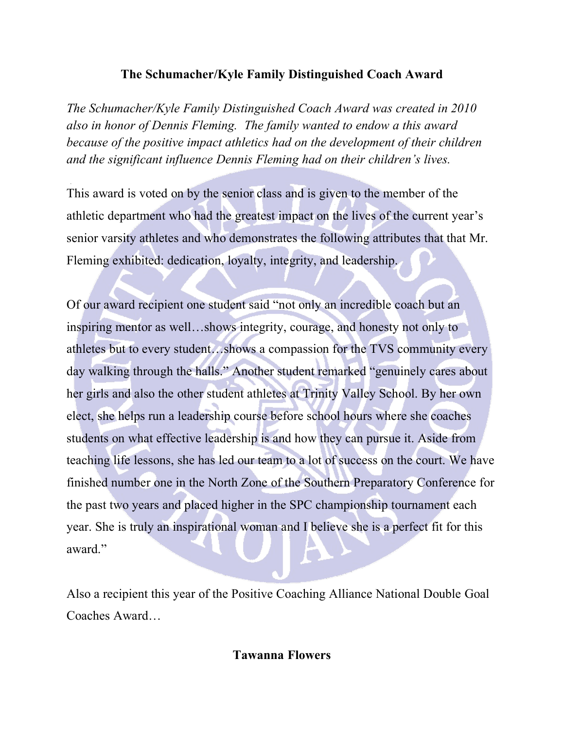# **The Schumacher/Kyle Family Distinguished Coach Award**

*The Schumacher/Kyle Family Distinguished Coach Award was created in 2010 also in honor of Dennis Fleming. The family wanted to endow a this award because of the positive impact athletics had on the development of their children and the significant influence Dennis Fleming had on their children's lives.* 

This award is voted on by the senior class and is given to the member of the athletic department who had the greatest impact on the lives of the current year's senior varsity athletes and who demonstrates the following attributes that that Mr. Fleming exhibited: dedication, loyalty, integrity, and leadership.

Of our award recipient one student said "not only an incredible coach but an inspiring mentor as well…shows integrity, courage, and honesty not only to athletes but to every student…shows a compassion for the TVS community every day walking through the halls." Another student remarked "genuinely cares about her girls and also the other student athletes at Trinity Valley School. By her own elect, she helps run a leadership course before school hours where she coaches students on what effective leadership is and how they can pursue it. Aside from teaching life lessons, she has led our team to a lot of success on the court. We have finished number one in the North Zone of the Southern Preparatory Conference for the past two years and placed higher in the SPC championship tournament each year. She is truly an inspirational woman and I believe she is a perfect fit for this award."

Also a recipient this year of the Positive Coaching Alliance National Double Goal Coaches Award…

**Tawanna Flowers**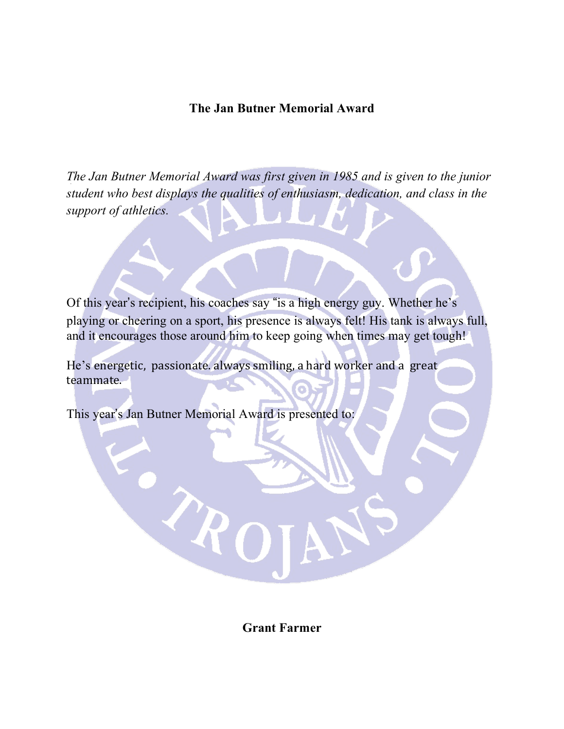## **The Jan Butner Memorial Award**

*The Jan Butner Memorial Award was first given in 1985 and is given to the junior student who best displays the qualities of enthusiasm, dedication, and class in the support of athletics.* 

Of this year's recipient, his coaches say "is a high energy guy. Whether he's playing or cheering on a sport, his presence is always felt! His tank is always full, and it encourages those around him to keep going when times may get tough!

He's energetic, passionate. always smiling, a hard worker and a great teammate.

This year's Jan Butner Memorial Award is presented to:

 $\ell_{\pmb{k}}$ 

**Grant Farmer**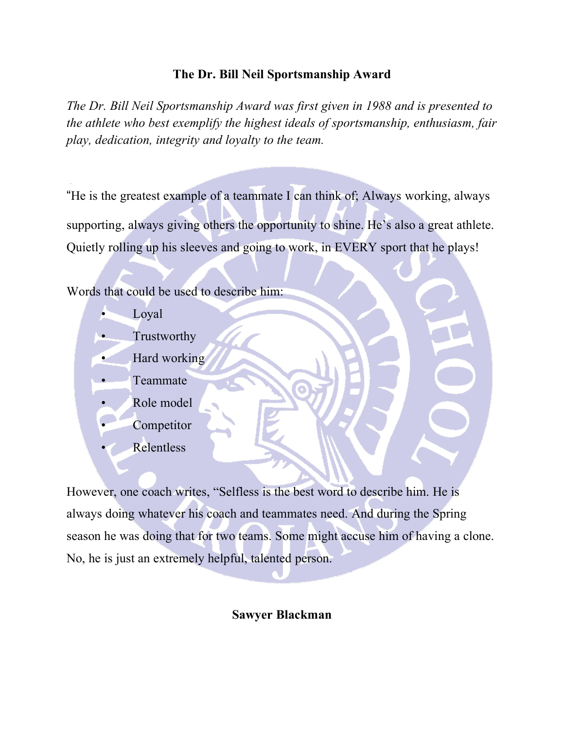## **The Dr. Bill Neil Sportsmanship Award**

*The Dr. Bill Neil Sportsmanship Award was first given in 1988 and is presented to the athlete who best exemplify the highest ideals of sportsmanship, enthusiasm, fair play, dedication, integrity and loyalty to the team.*

"He is the greatest example of a teammate I can think of; Always working, always supporting, always giving others the opportunity to shine. He's also a great athlete. Quietly rolling up his sleeves and going to work, in EVERY sport that he plays!

Words that could be used to describe him:

- Loyal
- Trustworthy
- Hard working
- Teammate
- Role model
- **Competitor**
- **Relentless**

However, one coach writes, "Selfless is the best word to describe him. He is always doing whatever his coach and teammates need. And during the Spring season he was doing that for two teams. Some might accuse him of having a clone. No, he is just an extremely helpful, talented person.

### **Sawyer Blackman**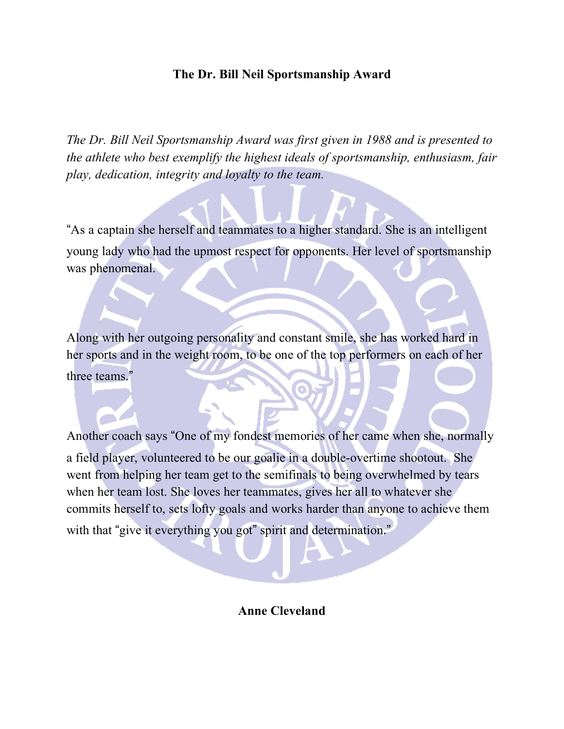## **The Dr. Bill Neil Sportsmanship Award**

*The Dr. Bill Neil Sportsmanship Award was first given in 1988 and is presented to the athlete who best exemplify the highest ideals of sportsmanship, enthusiasm, fair play, dedication, integrity and loyalty to the team.*

"As a captain she herself and teammates to a higher standard. She is an intelligent young lady who had the upmost respect for opponents. Her level of sportsmanship was phenomenal.

Along with her outgoing personality and constant smile, she has worked hard in her sports and in the weight room, to be one of the top performers on each of her three teams."

Another coach says "One of my fondest memories of her came when she, normally a field player, volunteered to be our goalie in a double-overtime shootout. She went from helping her team get to the semifinals to being overwhelmed by tears when her team lost. She loves her teammates, gives her all to whatever she commits herself to, sets lofty goals and works harder than anyone to achieve them with that "give it everything you got" spirit and determination."

#### **Anne Cleveland**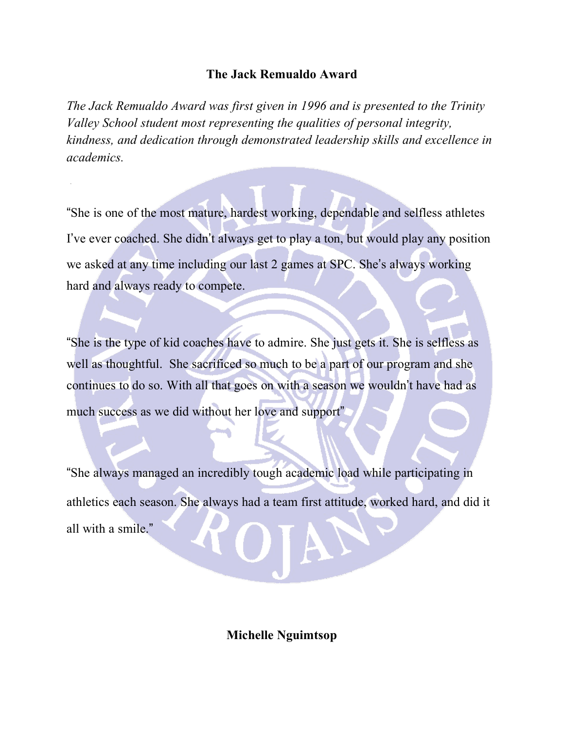### **The Jack Remualdo Award**

*The Jack Remualdo Award was first given in 1996 and is presented to the Trinity Valley School student most representing the qualities of personal integrity, kindness, and dedication through demonstrated leadership skills and excellence in academics.*

"She is one of the most mature, hardest working, dependable and selfless athletes I've ever coached. She didn't always get to play a ton, but would play any position we asked at any time including our last 2 games at SPC. She's always working hard and always ready to compete.

"She is the type of kid coaches have to admire. She just gets it. She is selfless as well as thoughtful. She sacrificed so much to be a part of our program and she continues to do so. With all that goes on with a season we wouldn't have had as much success as we did without her love and support"

"She always managed an incredibly tough academic load while participating in athletics each season. She always had a team first attitude, worked hard, and did it all with a smile."

**Michelle Nguimtsop**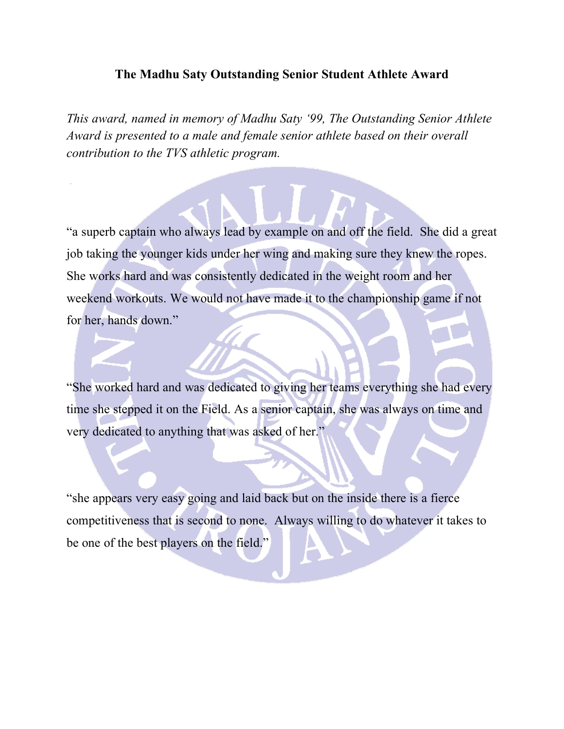#### **The Madhu Saty Outstanding Senior Student Athlete Award**

*This award, named in memory of Madhu Saty '99, The Outstanding Senior Athlete Award is presented to a male and female senior athlete based on their overall contribution to the TVS athletic program.* 

"a superb captain who always lead by example on and off the field. She did a great job taking the younger kids under her wing and making sure they knew the ropes. She works hard and was consistently dedicated in the weight room and her weekend workouts. We would not have made it to the championship game if not for her, hands down."

"She worked hard and was dedicated to giving her teams everything she had every time she stepped it on the Field. As a senior captain, she was always on time and very dedicated to anything that was asked of her."

"she appears very easy going and laid back but on the inside there is a fierce competitiveness that is second to none. Always willing to do whatever it takes to be one of the best players on the field."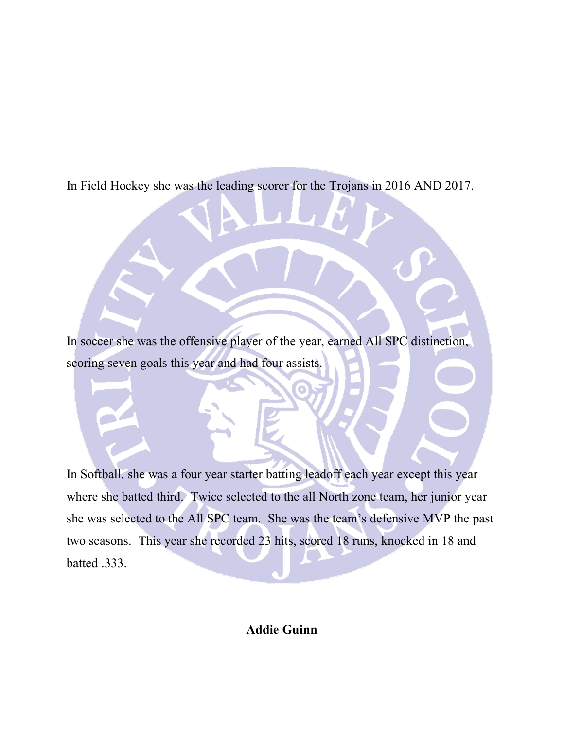In Field Hockey she was the leading scorer for the Trojans in 2016 AND 2017.

In soccer she was the offensive player of the year, earned All SPC distinction, scoring seven goals this year and had four assists.

In Softball, she was a four year starter batting leadoff each year except this year where she batted third. Twice selected to the all North zone team, her junior year she was selected to the All SPC team. She was the team's defensive MVP the past two seasons. This year she recorded 23 hits, scored 18 runs, knocked in 18 and batted .333.

**Addie Guinn**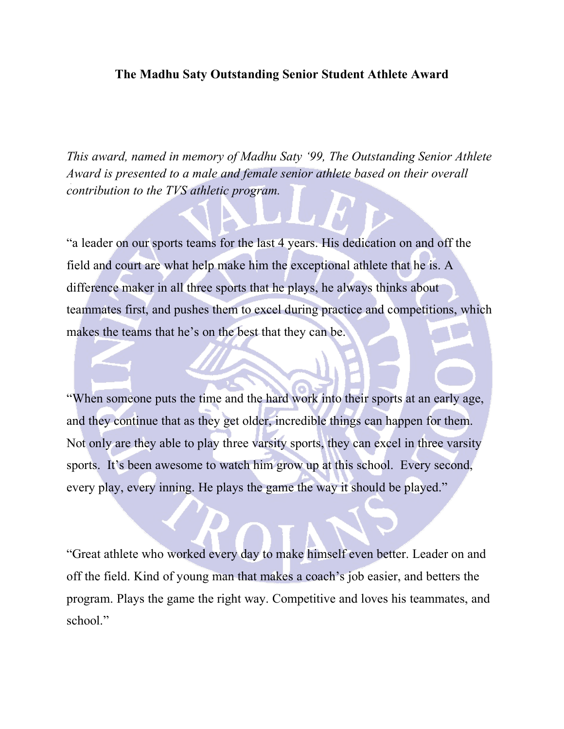#### **The Madhu Saty Outstanding Senior Student Athlete Award**

*This award, named in memory of Madhu Saty '99, The Outstanding Senior Athlete Award is presented to a male and female senior athlete based on their overall contribution to the TVS athletic program.* 

"a leader on our sports teams for the last 4 years. His dedication on and off the field and court are what help make him the exceptional athlete that he is. A difference maker in all three sports that he plays, he always thinks about teammates first, and pushes them to excel during practice and competitions, which makes the teams that he's on the best that they can be.

"When someone puts the time and the hard work into their sports at an early age, and they continue that as they get older, incredible things can happen for them. Not only are they able to play three varsity sports, they can excel in three varsity sports. It's been awesome to watch him grow up at this school. Every second, every play, every inning. He plays the game the way it should be played."

"Great athlete who worked every day to make himself even better. Leader on and off the field. Kind of young man that makes a coach's job easier, and betters the program. Plays the game the right way. Competitive and loves his teammates, and school."